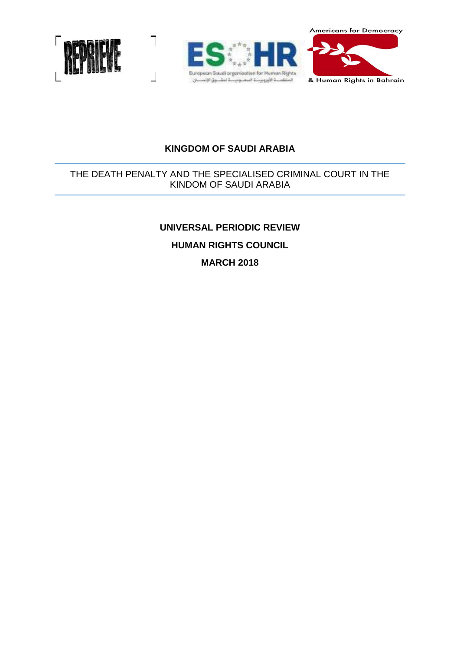**Americans for Democracy** 



 $\frac{1}{2}$ 





# **KINGDOM OF SAUDI ARABIA**

# THE DEATH PENALTY AND THE SPECIALISED CRIMINAL COURT IN THE KINDOM OF SAUDI ARABIA

# **UNIVERSAL PERIODIC REVIEW**

# **HUMAN RIGHTS COUNCIL**

**MARCH 2018**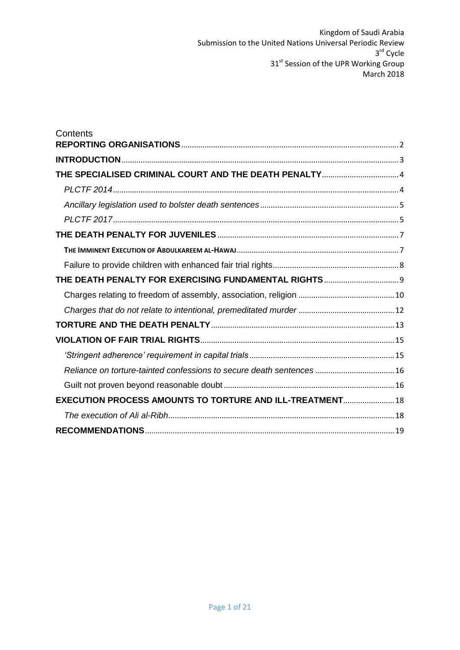| Contents                                                              |  |
|-----------------------------------------------------------------------|--|
|                                                                       |  |
| THE SPECIALISED CRIMINAL COURT AND THE DEATH PENALTY 4                |  |
|                                                                       |  |
|                                                                       |  |
|                                                                       |  |
|                                                                       |  |
|                                                                       |  |
|                                                                       |  |
|                                                                       |  |
|                                                                       |  |
|                                                                       |  |
|                                                                       |  |
|                                                                       |  |
|                                                                       |  |
| Reliance on torture-tainted confessions to secure death sentences  16 |  |
|                                                                       |  |
| <b>EXECUTION PROCESS AMOUNTS TO TORTURE AND ILL-TREATMENT 18</b>      |  |
|                                                                       |  |
|                                                                       |  |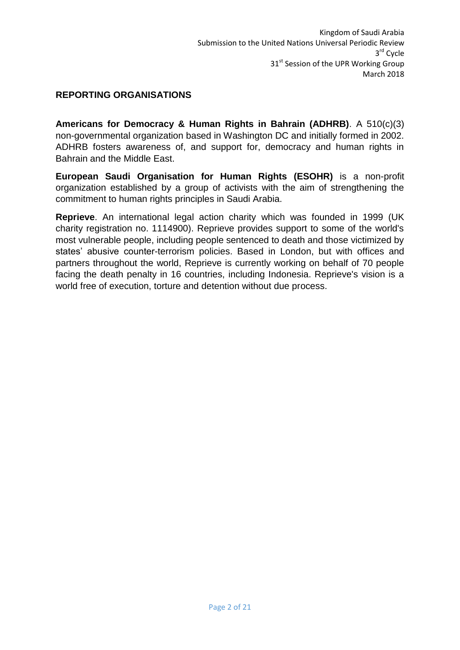## <span id="page-2-0"></span>**REPORTING ORGANISATIONS**

**Americans for Democracy & Human Rights in Bahrain (ADHRB)**. A 510(c)(3) non-governmental organization based in Washington DC and initially formed in 2002. ADHRB fosters awareness of, and support for, democracy and human rights in Bahrain and the Middle East.

**European Saudi Organisation for Human Rights (ESOHR)** is a non-profit organization established by a group of activists with the aim of strengthening the commitment to human rights principles in Saudi Arabia.

**Reprieve**. An international legal action charity which was founded in 1999 (UK charity registration no. 1114900). Reprieve provides support to some of the world's most vulnerable people, including people sentenced to death and those victimized by states' abusive counter-terrorism policies. Based in London, but with offices and partners throughout the world, Reprieve is currently working on behalf of 70 people facing the death penalty in 16 countries, including Indonesia. Reprieve's vision is a world free of execution, torture and detention without due process.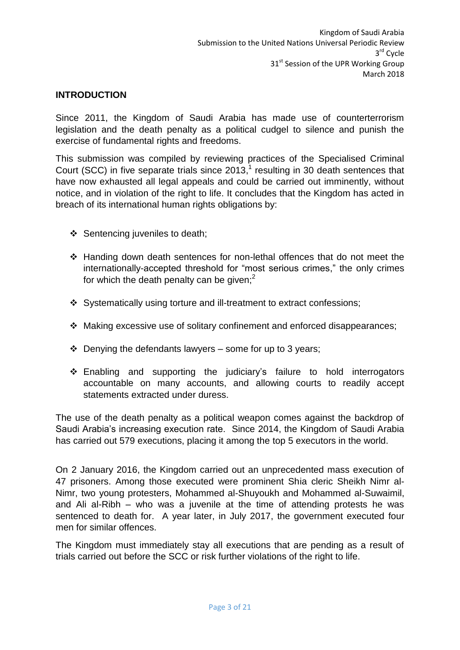## <span id="page-3-0"></span>**INTRODUCTION**

Since 2011, the Kingdom of Saudi Arabia has made use of counterterrorism legislation and the death penalty as a political cudgel to silence and punish the exercise of fundamental rights and freedoms.

This submission was compiled by reviewing practices of the Specialised Criminal Court (SCC) in five separate trials since  $2013$ ,<sup>1</sup> resulting in 30 death sentences that have now exhausted all legal appeals and could be carried out imminently, without notice, and in violation of the right to life. It concludes that the Kingdom has acted in breach of its international human rights obligations by:

- ❖ Sentencing juveniles to death;
- Handing down death sentences for non-lethal offences that do not meet the internationally-accepted threshold for "most serious crimes," the only crimes for which the death penalty can be given;<sup>2</sup>
- Systematically using torture and ill-treatment to extract confessions;
- Making excessive use of solitary confinement and enforced disappearances;
- $\div$  Denying the defendants lawyers some for up to 3 years;
- Enabling and supporting the judiciary's failure to hold interrogators accountable on many accounts, and allowing courts to readily accept statements extracted under duress.

The use of the death penalty as a political weapon comes against the backdrop of Saudi Arabia's increasing execution rate. Since 2014, the Kingdom of Saudi Arabia has carried out 579 executions, placing it among the top 5 executors in the world.

On 2 January 2016, the Kingdom carried out an unprecedented mass execution of 47 prisoners. Among those executed were prominent Shia cleric Sheikh Nimr al-Nimr, two young protesters, Mohammed al-Shuyoukh and Mohammed al-Suwaimil, and Ali al-Ribh – who was a juvenile at the time of attending protests he was sentenced to death for. A year later, in July 2017, the government executed four men for similar offences.

The Kingdom must immediately stay all executions that are pending as a result of trials carried out before the SCC or risk further violations of the right to life.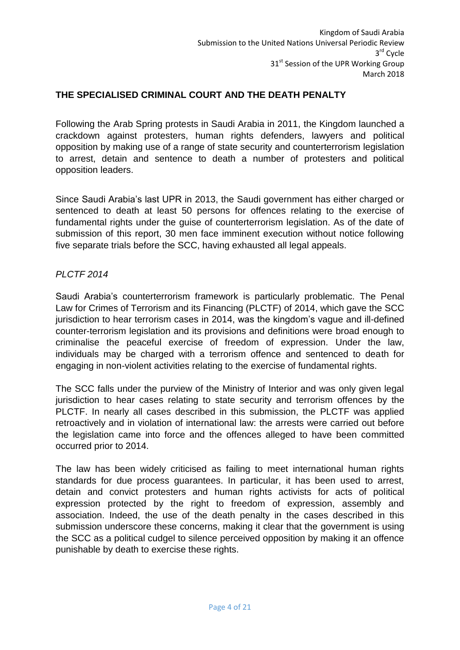## <span id="page-4-0"></span>**THE SPECIALISED CRIMINAL COURT AND THE DEATH PENALTY**

Following the Arab Spring protests in Saudi Arabia in 2011, the Kingdom launched a crackdown against protesters, human rights defenders, lawyers and political opposition by making use of a range of state security and counterterrorism legislation to arrest, detain and sentence to death a number of protesters and political opposition leaders.

Since Saudi Arabia's last UPR in 2013, the Saudi government has either charged or sentenced to death at least 50 persons for offences relating to the exercise of fundamental rights under the guise of counterterrorism legislation. As of the date of submission of this report, 30 men face imminent execution without notice following five separate trials before the SCC, having exhausted all legal appeals.

### <span id="page-4-1"></span>*PLCTF 2014*

Saudi Arabia's counterterrorism framework is particularly problematic. The Penal Law for Crimes of Terrorism and its Financing (PLCTF) of 2014, which gave the SCC jurisdiction to hear terrorism cases in 2014, was the kingdom's vague and ill-defined counter-terrorism legislation and its provisions and definitions were broad enough to criminalise the peaceful exercise of freedom of expression. Under the law, individuals may be charged with a terrorism offence and sentenced to death for engaging in non-violent activities relating to the exercise of fundamental rights.

The SCC falls under the purview of the Ministry of Interior and was only given legal jurisdiction to hear cases relating to state security and terrorism offences by the PLCTF. In nearly all cases described in this submission, the PLCTF was applied retroactively and in violation of international law: the arrests were carried out before the legislation came into force and the offences alleged to have been committed occurred prior to 2014.

The law has been widely criticised as failing to meet international human rights standards for due process guarantees. In particular, it has been used to arrest, detain and convict protesters and human rights activists for acts of political expression protected by the right to freedom of expression, assembly and association. Indeed, the use of the death penalty in the cases described in this submission underscore these concerns, making it clear that the government is using the SCC as a political cudgel to silence perceived opposition by making it an offence punishable by death to exercise these rights.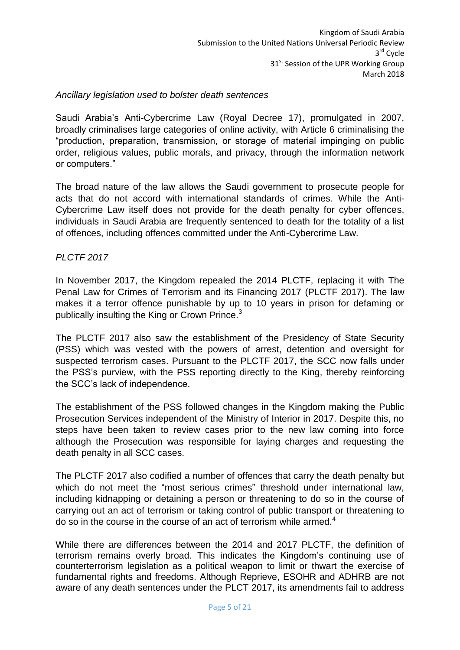### <span id="page-5-0"></span>*Ancillary legislation used to bolster death sentences*

Saudi Arabia's Anti-Cybercrime Law (Royal Decree 17), promulgated in 2007, broadly criminalises large categories of online activity, with Article 6 criminalising the "production, preparation, transmission, or storage of material impinging on public order, religious values, public morals, and privacy, through the information network or computers."

The broad nature of the law allows the Saudi government to prosecute people for acts that do not accord with international standards of crimes. While the Anti-Cybercrime Law itself does not provide for the death penalty for cyber offences, individuals in Saudi Arabia are frequently sentenced to death for the totality of a list of offences, including offences committed under the Anti-Cybercrime Law.

### <span id="page-5-1"></span>*PLCTF 2017*

In November 2017, the Kingdom repealed the 2014 PLCTF, replacing it with The Penal Law for Crimes of Terrorism and its Financing 2017 (PLCTF 2017). The law makes it a terror offence punishable by up to 10 years in prison for defaming or publically insulting the King or Crown Prince.<sup>3</sup>

The PLCTF 2017 also saw the establishment of the Presidency of State Security (PSS) which was vested with the powers of arrest, detention and oversight for suspected terrorism cases. Pursuant to the PLCTF 2017, the SCC now falls under the PSS's purview, with the PSS reporting directly to the King, thereby reinforcing the SCC's lack of independence.

The establishment of the PSS followed changes in the Kingdom making the Public Prosecution Services independent of the Ministry of Interior in 2017. Despite this, no steps have been taken to review cases prior to the new law coming into force although the Prosecution was responsible for laying charges and requesting the death penalty in all SCC cases.

The PLCTF 2017 also codified a number of offences that carry the death penalty but which do not meet the "most serious crimes" threshold under international law, including kidnapping or detaining a person or threatening to do so in the course of carrying out an act of terrorism or taking control of public transport or threatening to do so in the course in the course of an act of terrorism while armed.<sup>4</sup>

While there are differences between the 2014 and 2017 PLCTF, the definition of terrorism remains overly broad. This indicates the Kingdom's continuing use of counterterrorism legislation as a political weapon to limit or thwart the exercise of fundamental rights and freedoms. Although Reprieve, ESOHR and ADHRB are not aware of any death sentences under the PLCT 2017, its amendments fail to address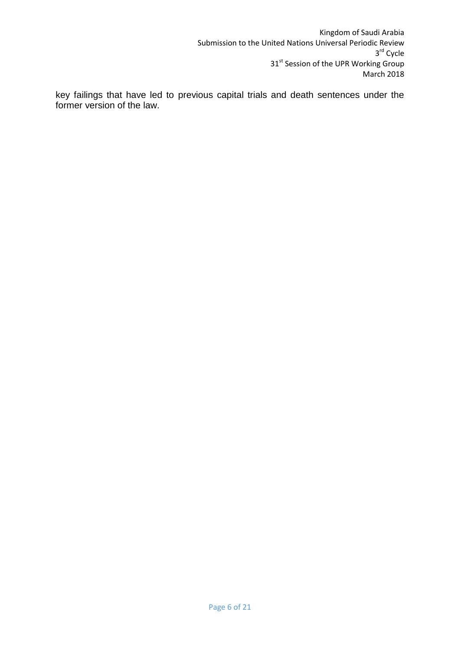key failings that have led to previous capital trials and death sentences under the former version of the law.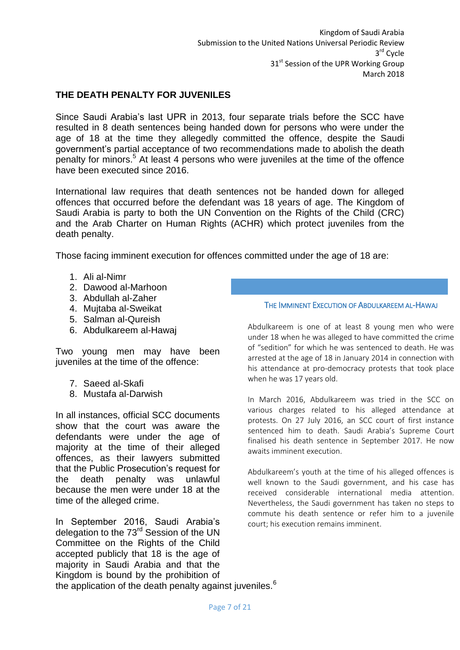### <span id="page-7-0"></span>**THE DEATH PENALTY FOR JUVENILES**

Since Saudi Arabia's last UPR in 2013, four separate trials before the SCC have resulted in 8 death sentences being handed down for persons who were under the age of 18 at the time they allegedly committed the offence, despite the Saudi government's partial acceptance of two recommendations made to abolish the death penalty for minors.<sup>5</sup> At least 4 persons who were juveniles at the time of the offence have been executed since 2016.

International law requires that death sentences not be handed down for alleged offences that occurred before the defendant was 18 years of age. The Kingdom of Saudi Arabia is party to both the UN Convention on the Rights of the Child (CRC) and the Arab Charter on Human Rights (ACHR) which protect juveniles from the death penalty.

Those facing imminent execution for offences committed under the age of 18 are:

- 1. Ali al-Nimr
- 2. Dawood al-Marhoon
- 3. Abdullah al-Zaher
- 4. Mujtaba al-Sweikat
- 5. Salman al-Qureish
- 6. Abdulkareem al-Hawaj

Two young men may have been juveniles at the time of the offence:

- 7. Saeed al-Skafi
- 8. Mustafa al-Darwish

In all instances, official SCC documents show that the court was aware the defendants were under the age of majority at the time of their alleged offences, as their lawyers submitted that the Public Prosecution's request for the death penalty was unlawful because the men were under 18 at the time of the alleged crime.

In September 2016, Saudi Arabia's delegation to the 73<sup>rd</sup> Session of the UN Committee on the Rights of the Child accepted publicly that 18 is the age of majority in Saudi Arabia and that the Kingdom is bound by the prohibition of the application of the death penalty against juveniles. $6$ 

#### THE IMMINENT EXECUTION OF ABDULKAREEM AL-HAWAJ

Abdulkareem is one of at least 8 young men who were under 18 when he was alleged to have committed the crime of "sedition" for which he was sentenced to death. He was arrested at the age of 18 in January 2014 in connection with his attendance at pro-democracy protests that took place when he was 17 years old.

In March 2016, Abdulkareem was tried in the SCC on various charges related to his alleged attendance at protests. On 27 July 2016, an SCC court of first instance sentenced him to death. Saudi Arabia's Supreme Court finalised his death sentence in September 2017. He now awaits imminent execution.

Abdulkareem's youth at the time of his alleged offences is well known to the Saudi government, and his case has received considerable international media attention. Nevertheless, the Saudi government has taken no steps to commute his death sentence or refer him to a juvenile court; his execution remains imminent.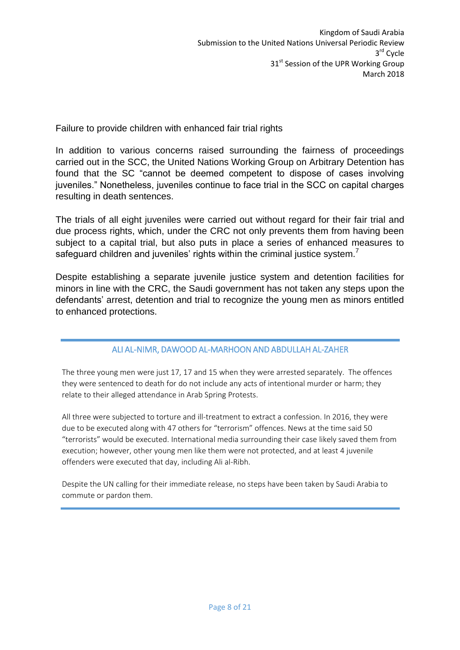<span id="page-8-0"></span>Failure to provide children with enhanced fair trial rights

In addition to various concerns raised surrounding the fairness of proceedings carried out in the SCC, the United Nations Working Group on Arbitrary Detention has found that the SC "cannot be deemed competent to dispose of cases involving juveniles." Nonetheless, juveniles continue to face trial in the SCC on capital charges resulting in death sentences.

The trials of all eight juveniles were carried out without regard for their fair trial and due process rights, which, under the CRC not only prevents them from having been subject to a capital trial, but also puts in place a series of enhanced measures to safeguard children and juveniles' rights within the criminal justice system.

Despite establishing a separate juvenile justice system and detention facilities for minors in line with the CRC, the Saudi government has not taken any steps upon the defendants' arrest, detention and trial to recognize the young men as minors entitled to enhanced protections.

## ALI AL-NIMR, DAWOOD AL-MARHOON AND ABDULLAH AL-ZAHER

The three young men were just 17, 17 and 15 when they were arrested separately. The offences they were sentenced to death for do not include any acts of intentional murder or harm; they relate to their alleged attendance in Arab Spring Protests.

All three were subjected to torture and ill-treatment to extract a confession. In 2016, they were due to be executed along with 47 others for "terrorism" offences. News at the time said 50 "terrorists" would be executed. International media surrounding their case likely saved them from execution; however, other young men like them were not protected, and at least 4 juvenile offenders were executed that day, including Ali al-Ribh.

Despite the UN calling for their immediate release, no steps have been taken by Saudi Arabia to commute or pardon them.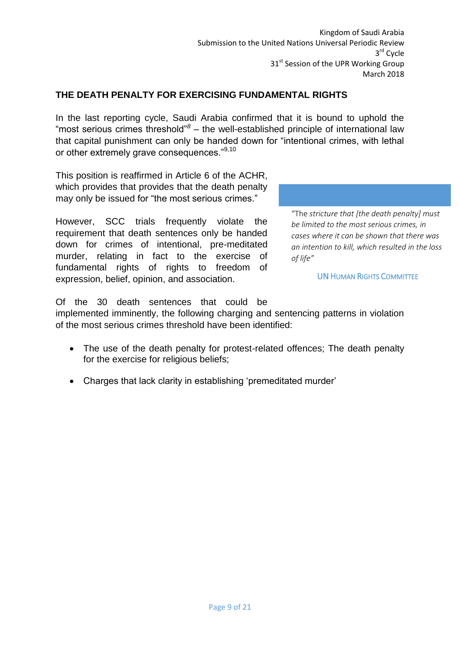Kingdom of Saudi Arabia Submission to the United Nations Universal Periodic Review 3 rd Cycle 31<sup>st</sup> Session of the UPR Working Group March 2018

## <span id="page-9-0"></span>**THE DEATH PENALTY FOR EXERCISING FUNDAMENTAL RIGHTS**

In the last reporting cycle, Saudi Arabia confirmed that it is bound to uphold the "most serious crimes threshold"*<sup>8</sup> –* the well-established principle of international law that capital punishment can only be handed down for "intentional crimes, with lethal or other extremely grave consequences."<sup>9,10</sup>

This position is reaffirmed in Article 6 of the ACHR, which provides that provides that the death penalty may only be issued for "the most serious crimes."

However, SCC trials frequently violate the requirement that death sentences only be handed down for crimes of intentional, pre-meditated murder, relating in fact to the exercise of fundamental rights of rights to freedom of expression, belief, opinion, and association.

"The *stricture that [the death penalty] must be limited to the most serious crimes, in cases where it can be shown that there was an intention to kill, which resulted in the loss of life"*

UN HUMAN RIGHTS COMMITTEE

Of the 30 death sentences that could be

implemented imminently, the following charging and sentencing patterns in violation of the most serious crimes threshold have been identified:

- The use of the death penalty for protest-related offences; The death penalty for the exercise for religious beliefs;
- Charges that lack clarity in establishing 'premeditated murder'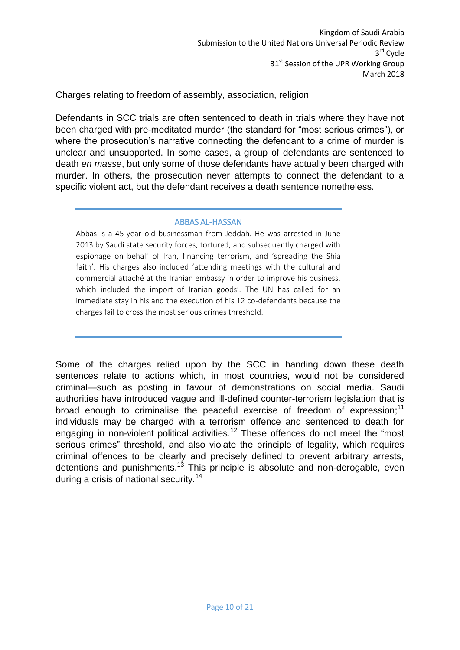<span id="page-10-0"></span>Charges relating to freedom of assembly, association, religion

Defendants in SCC trials are often sentenced to death in trials where they have not been charged with pre-meditated murder (the standard for "most serious crimes"), or where the prosecution's narrative connecting the defendant to a crime of murder is unclear and unsupported. In some cases, a group of defendants are sentenced to death *en masse*, but only some of those defendants have actually been charged with murder. In others, the prosecution never attempts to connect the defendant to a specific violent act, but the defendant receives a death sentence nonetheless.

### ABBAS AL-HASSAN

Abbas is a 45-year old businessman from Jeddah. He was arrested in June 2013 by Saudi state security forces, tortured, and subsequently charged with espionage on behalf of Iran, financing terrorism, and 'spreading the Shia faith'. His charges also included 'attending meetings with the cultural and commercial attaché at the Iranian embassy in order to improve his business, which included the import of Iranian goods'. The UN has called for an immediate stay in his and the execution of his 12 co-defendants because the charges fail to cross the most serious crimes threshold.

Some of the charges relied upon by the SCC in handing down these death sentences relate to actions which, in most countries, would not be considered criminal—such as posting in favour of demonstrations on social media. Saudi authorities have introduced vague and ill-defined counter-terrorism legislation that is broad enough to criminalise the peaceful exercise of freedom of expression:<sup>11</sup> individuals may be charged with a terrorism offence and sentenced to death for engaging in non-violent political activities.<sup>12</sup> These offences do not meet the "most serious crimes" threshold, and also violate the principle of legality, which requires criminal offences to be clearly and precisely defined to prevent arbitrary arrests, detentions and punishments.<sup>13</sup> This principle is absolute and non-derogable, even during a crisis of national security.<sup>14</sup>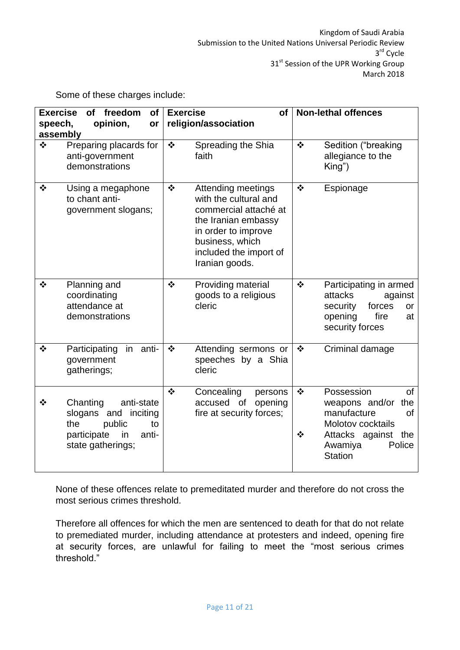Some of these charges include:

| <b>Exercise</b><br>of freedom<br><b>of</b><br>opinion,<br>speech,<br>or<br>assembly |                                                                                                                             | <b>Exercise</b><br><b>of</b><br>religion/association |                                                                                                                                                                                   | <b>Non-lethal offences</b>                 |                                                                                                                                                              |
|-------------------------------------------------------------------------------------|-----------------------------------------------------------------------------------------------------------------------------|------------------------------------------------------|-----------------------------------------------------------------------------------------------------------------------------------------------------------------------------------|--------------------------------------------|--------------------------------------------------------------------------------------------------------------------------------------------------------------|
| $\frac{1}{2}$                                                                       | Preparing placards for<br>anti-government<br>demonstrations                                                                 | $\ddot{\bullet}$                                     | Spreading the Shia<br>faith                                                                                                                                                       | $\bullet^{\bullet}_{\bullet} \bullet$      | Sedition ("breaking<br>allegiance to the<br>King")                                                                                                           |
| $\cdot$                                                                             | Using a megaphone<br>to chant anti-<br>government slogans;                                                                  | $\mathbf{r}^{\star}_{\bullet}$                       | Attending meetings<br>with the cultural and<br>commercial attaché at<br>the Iranian embassy<br>in order to improve<br>business, which<br>included the import of<br>Iranian goods. | $\bullet^{\bullet}_{\bullet} \bullet$      | Espionage                                                                                                                                                    |
| $\frac{1}{2}$                                                                       | Planning and<br>coordinating<br>attendance at<br>demonstrations                                                             | $\bullet^{\bullet}_{\bullet} \bullet$                | Providing material<br>goods to a religious<br>cleric                                                                                                                              | $\bullet^{\bullet}_{\bullet} \bullet$      | Participating in armed<br>attacks<br>against<br>forces<br>security<br>or<br>opening<br>fire<br>at<br>security forces                                         |
| $\frac{1}{2}$                                                                       | Participating<br>in<br>anti-<br>government<br>gatherings;                                                                   | $\bullet$                                            | Attending sermons or<br>speeches by a Shia<br>cleric                                                                                                                              | $\bullet \bullet$                          | Criminal damage                                                                                                                                              |
| ❖                                                                                   | Chanting<br>anti-state<br>slogans and<br>inciting<br>the<br>public<br>to<br>participate<br>anti-<br>in<br>state gatherings; | $\frac{1}{2}$                                        | Concealing<br>persons<br>accused of opening<br>fire at security forces;                                                                                                           | $\bullet^{\bullet}_{\bullet} \bullet$<br>❖ | Possession<br><b>of</b><br>weapons and/or the<br>manufacture<br>0f<br><b>Molotov cocktails</b><br>Attacks against the<br>Awamiya<br>Police<br><b>Station</b> |

None of these offences relate to premeditated murder and therefore do not cross the most serious crimes threshold.

Therefore all offences for which the men are sentenced to death for that do not relate to premediated murder, including attendance at protesters and indeed, opening fire at security forces, are unlawful for failing to meet the "most serious crimes threshold."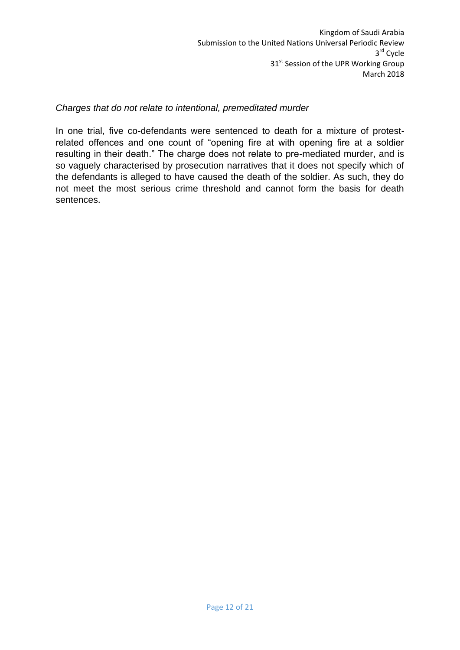## <span id="page-12-0"></span>*Charges that do not relate to intentional, premeditated murder*

In one trial, five co-defendants were sentenced to death for a mixture of protestrelated offences and one count of "opening fire at with opening fire at a soldier resulting in their death." The charge does not relate to pre-mediated murder, and is so vaguely characterised by prosecution narratives that it does not specify which of the defendants is alleged to have caused the death of the soldier. As such, they do not meet the most serious crime threshold and cannot form the basis for death sentences.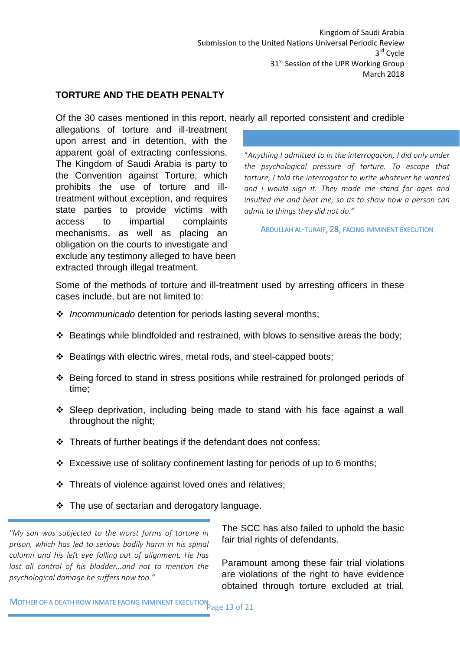### <span id="page-13-0"></span>**TORTURE AND THE DEATH PENALTY**

Of the 30 cases mentioned in this report, nearly all reported consistent and credible

allegations of torture and ill-treatment upon arrest and in detention, with the apparent goal of extracting confessions. The Kingdom of Saudi Arabia is party to the Convention against Torture, which prohibits the use of torture and illtreatment without exception, and requires state parties to provide victims with access to impartial complaints mechanisms, as well as placing an obligation on the courts to investigate and exclude any testimony alleged to have been extracted through illegal treatment.

"*Anything I admitted to in the interrogation, I did only under the psychological pressure of torture. To escape that torture, I told the interrogator to write whatever he wanted and I would sign it. They made me stand for ages and insulted me and beat me, so as to show how a person can admit to things they did not do."*

ABDULLAH AL-TURAIF, 28, FACING IMMINENT EXECUTION

Some of the methods of torture and ill-treatment used by arresting officers in these cases include, but are not limited to:

- *Incommunicado* detention for periods lasting several months;
- Beatings while blindfolded and restrained, with blows to sensitive areas the body;
- Beatings with electric wires, metal rods, and steel-capped boots;
- Being forced to stand in stress positions while restrained for prolonged periods of time;
- Sleep deprivation, including being made to stand with his face against a wall throughout the night;
- $\cdot$  Threats of further beatings if the defendant does not confess;
- $\div$  Excessive use of solitary confinement lasting for periods of up to 6 months;
- ❖ Threats of violence against loved ones and relatives;
- $\div$  The use of sectarian and derogatory language.

*"My son was subjected to the worst forms of torture in prison, which has led to serious bodily harm in his spinal column and his left eye falling out of alignment. He has lost all control of his bladder...and not to mention the psychological damage he suffers now too."*

The SCC has also failed to uphold the basic fair trial rights of defendants.

Paramount among these fair trial violations are violations of the right to have evidence obtained through torture excluded at trial.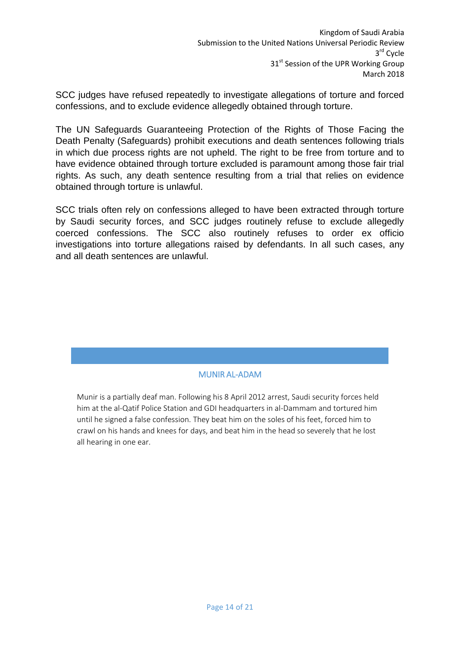SCC judges have refused repeatedly to investigate allegations of torture and forced confessions, and to exclude evidence allegedly obtained through torture.

The UN Safeguards Guaranteeing Protection of the Rights of Those Facing the Death Penalty (Safeguards) prohibit executions and death sentences following trials in which due process rights are not upheld. The right to be free from torture and to have evidence obtained through torture excluded is paramount among those fair trial rights. As such, any death sentence resulting from a trial that relies on evidence obtained through torture is unlawful.

SCC trials often rely on confessions alleged to have been extracted through torture by Saudi security forces, and SCC judges routinely refuse to exclude allegedly coerced confessions. The SCC also routinely refuses to order ex officio investigations into torture allegations raised by defendants. In all such cases, any and all death sentences are unlawful.

## MUNIR AL-ADAM

Munir is a partially deaf man. Following his 8 April 2012 arrest, Saudi security forces held him at the al-Qatif Police Station and GDI headquarters in al-Dammam and tortured him until he signed a false confession. They beat him on the soles of his feet, forced him to crawl on his hands and knees for days, and beat him in the head so severely that he lost all hearing in one ear.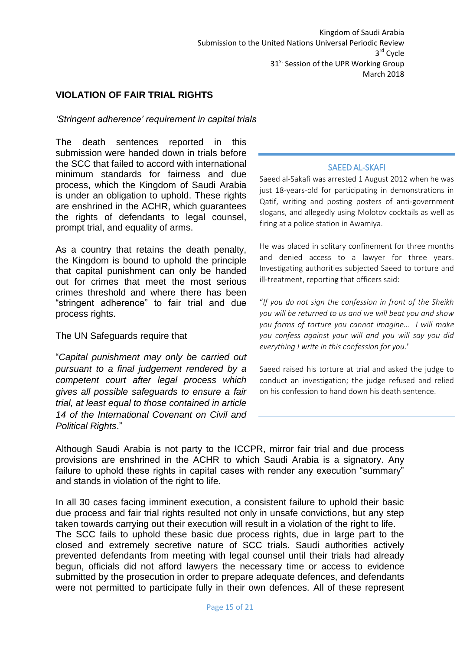### <span id="page-15-0"></span>**VIOLATION OF FAIR TRIAL RIGHTS**

### <span id="page-15-1"></span>*'Stringent adherence' requirement in capital trials*

The death sentences reported in this submission were handed down in trials before the SCC that failed to accord with international minimum standards for fairness and due process, which the Kingdom of Saudi Arabia is under an obligation to uphold. These rights are enshrined in the ACHR, which guarantees the rights of defendants to legal counsel. prompt trial, and equality of arms.

As a country that retains the death penalty, the Kingdom is bound to uphold the principle that capital punishment can only be handed out for crimes that meet the most serious crimes threshold and where there has been "stringent adherence" to fair trial and due process rights.

#### The UN Safeguards require that

"*Capital punishment may only be carried out pursuant to a final judgement rendered by a competent court after legal process which gives all possible safeguards to ensure a fair trial, at least equal to those contained in article 14 of the International Covenant on Civil and Political Rights*."

#### SAEED AL-SKAFI

Saeed al-Sakafi was arrested 1 August 2012 when he was just 18-years-old for participating in demonstrations in Qatif, writing and posting posters of anti-government slogans, and allegedly using Molotov cocktails as well as firing at a police station in Awamiya.

He was placed in solitary confinement for three months and denied access to a lawyer for three years. Investigating authorities subjected Saeed to torture and ill-treatment, reporting that officers said:

"*If you do not sign the confession in front of the Sheikh you will be returned to us and we will beat you and show you forms of torture you cannot imagine… I will make you confess against your will and you will say you did everything I write in this confession for you*."

Saeed raised his torture at trial and asked the judge to conduct an investigation; the judge refused and relied on his confession to hand down his death sentence.

Although Saudi Arabia is not party to the ICCPR, mirror fair trial and due process provisions are enshrined in the ACHR to which Saudi Arabia is a signatory. Any failure to uphold these rights in capital cases with render any execution "summary" and stands in violation of the right to life.

In all 30 cases facing imminent execution, a consistent failure to uphold their basic due process and fair trial rights resulted not only in unsafe convictions, but any step taken towards carrying out their execution will result in a violation of the right to life. The SCC fails to uphold these basic due process rights, due in large part to the closed and extremely secretive nature of SCC trials. Saudi authorities actively prevented defendants from meeting with legal counsel until their trials had already begun, officials did not afford lawyers the necessary time or access to evidence submitted by the prosecution in order to prepare adequate defences, and defendants were not permitted to participate fully in their own defences. All of these represent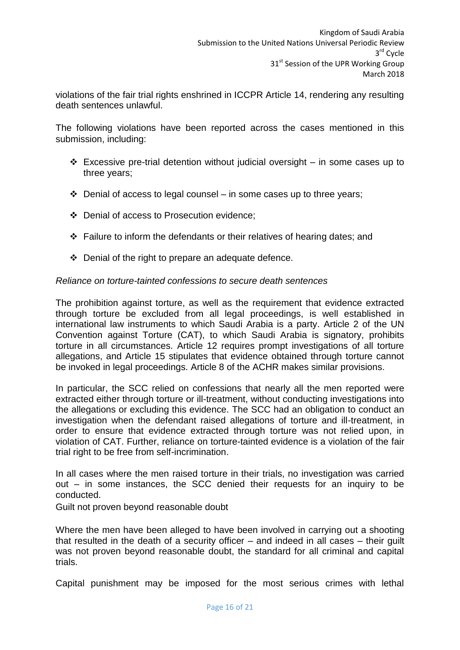violations of the fair trial rights enshrined in ICCPR Article 14, rendering any resulting death sentences unlawful.

The following violations have been reported across the cases mentioned in this submission, including:

- $\div$  Excessive pre-trial detention without judicial oversight in some cases up to three years;
- $\div$  Denial of access to legal counsel in some cases up to three years;
- Denial of access to Prosecution evidence;
- \* Failure to inform the defendants or their relatives of hearing dates; and
- $\div$  Denial of the right to prepare an adequate defence.

### <span id="page-16-0"></span>*Reliance on torture-tainted confessions to secure death sentences*

The prohibition against torture, as well as the requirement that evidence extracted through torture be excluded from all legal proceedings, is well established in international law instruments to which Saudi Arabia is a party. Article 2 of the UN Convention against Torture (CAT), to which Saudi Arabia is signatory, prohibits torture in all circumstances. Article 12 requires prompt investigations of all torture allegations, and Article 15 stipulates that evidence obtained through torture cannot be invoked in legal proceedings. Article 8 of the ACHR makes similar provisions.

In particular, the SCC relied on confessions that nearly all the men reported were extracted either through torture or ill-treatment, without conducting investigations into the allegations or excluding this evidence. The SCC had an obligation to conduct an investigation when the defendant raised allegations of torture and ill-treatment, in order to ensure that evidence extracted through torture was not relied upon, in violation of CAT. Further, reliance on torture-tainted evidence is a violation of the fair trial right to be free from self-incrimination.

In all cases where the men raised torture in their trials, no investigation was carried out – in some instances, the SCC denied their requests for an inquiry to be conducted.

<span id="page-16-1"></span>Guilt not proven beyond reasonable doubt

Where the men have been alleged to have been involved in carrying out a shooting that resulted in the death of a security officer – and indeed in all cases – their guilt was not proven beyond reasonable doubt, the standard for all criminal and capital trials.

Capital punishment may be imposed for the most serious crimes with lethal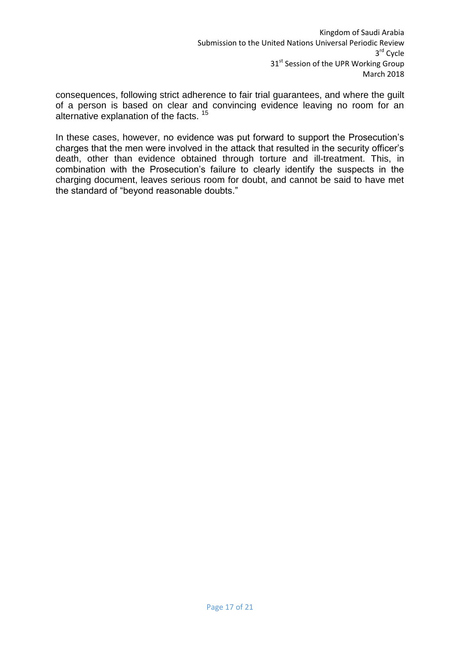consequences, following strict adherence to fair trial guarantees, and where the guilt of a person is based on clear and convincing evidence leaving no room for an alternative explanation of the facts.<sup>15</sup>

In these cases, however, no evidence was put forward to support the Prosecution's charges that the men were involved in the attack that resulted in the security officer's death, other than evidence obtained through torture and ill-treatment. This, in combination with the Prosecution's failure to clearly identify the suspects in the charging document, leaves serious room for doubt, and cannot be said to have met the standard of "beyond reasonable doubts."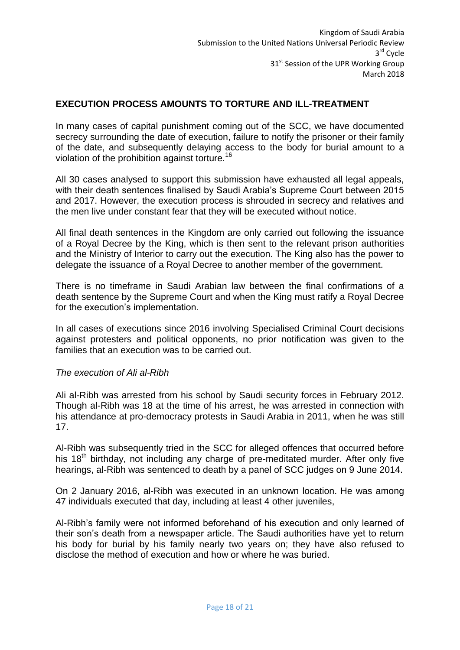## <span id="page-18-0"></span>**EXECUTION PROCESS AMOUNTS TO TORTURE AND ILL-TREATMENT**

In many cases of capital punishment coming out of the SCC, we have documented secrecy surrounding the date of execution, failure to notify the prisoner or their family of the date, and subsequently delaying access to the body for burial amount to a violation of the prohibition against torture.<sup>16</sup>

All 30 cases analysed to support this submission have exhausted all legal appeals, with their death sentences finalised by Saudi Arabia's Supreme Court between 2015 and 2017. However, the execution process is shrouded in secrecy and relatives and the men live under constant fear that they will be executed without notice.

All final death sentences in the Kingdom are only carried out following the issuance of a Royal Decree by the King, which is then sent to the relevant prison authorities and the Ministry of Interior to carry out the execution. The King also has the power to delegate the issuance of a Royal Decree to another member of the government.

There is no timeframe in Saudi Arabian law between the final confirmations of a death sentence by the Supreme Court and when the King must ratify a Royal Decree for the execution's implementation.

In all cases of executions since 2016 involving Specialised Criminal Court decisions against protesters and political opponents, no prior notification was given to the families that an execution was to be carried out.

#### <span id="page-18-1"></span>*The execution of Ali al-Ribh*

Ali al-Ribh was arrested from his school by Saudi security forces in February 2012. Though al-Ribh was 18 at the time of his arrest, he was arrested in connection with his attendance at pro-democracy protests in Saudi Arabia in 2011, when he was still 17.

Al-Ribh was subsequently tried in the SCC for alleged offences that occurred before his 18<sup>th</sup> birthday, not including any charge of pre-meditated murder. After only five hearings, al-Ribh was sentenced to death by a panel of SCC judges on 9 June 2014.

On 2 January 2016, al-Ribh was executed in an unknown location. He was among 47 individuals executed that day, including at least 4 other juveniles,

Al-Ribh's family were not informed beforehand of his execution and only learned of their son's death from a newspaper article. The Saudi authorities have yet to return his body for burial by his family nearly two years on; they have also refused to disclose the method of execution and how or where he was buried.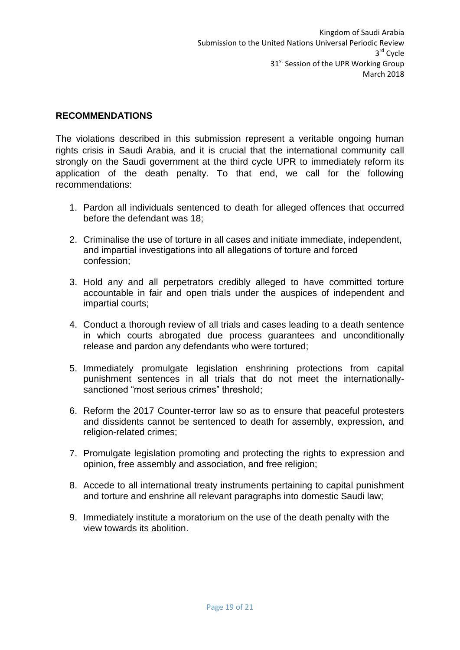### <span id="page-19-0"></span>**RECOMMENDATIONS**

The violations described in this submission represent a veritable ongoing human rights crisis in Saudi Arabia, and it is crucial that the international community call strongly on the Saudi government at the third cycle UPR to immediately reform its application of the death penalty. To that end, we call for the following recommendations:

- 1. Pardon all individuals sentenced to death for alleged offences that occurred before the defendant was 18;
- 2. Criminalise the use of torture in all cases and initiate immediate, independent, and impartial investigations into all allegations of torture and forced confession;
- 3. Hold any and all perpetrators credibly alleged to have committed torture accountable in fair and open trials under the auspices of independent and impartial courts;
- 4. Conduct a thorough review of all trials and cases leading to a death sentence in which courts abrogated due process guarantees and unconditionally release and pardon any defendants who were tortured;
- 5. Immediately promulgate legislation enshrining protections from capital punishment sentences in all trials that do not meet the internationallysanctioned "most serious crimes" threshold;
- 6. Reform the 2017 Counter-terror law so as to ensure that peaceful protesters and dissidents cannot be sentenced to death for assembly, expression, and religion-related crimes;
- 7. Promulgate legislation promoting and protecting the rights to expression and opinion, free assembly and association, and free religion;
- 8. Accede to all international treaty instruments pertaining to capital punishment and torture and enshrine all relevant paragraphs into domestic Saudi law;
- 9. Immediately institute a moratorium on the use of the death penalty with the view towards its abolition.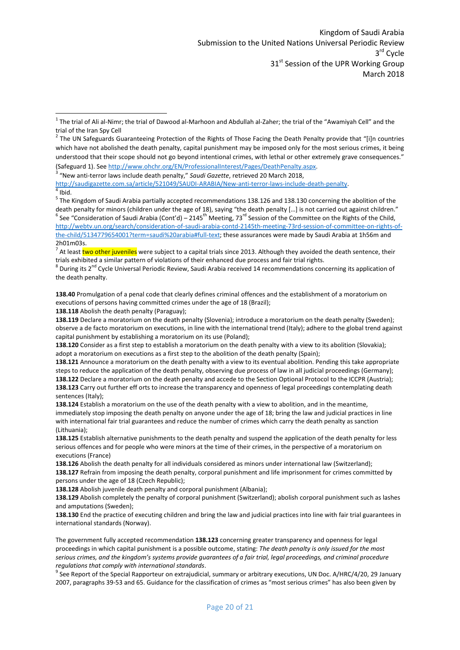<sup>7</sup> At least two other juveniles were subject to a capital trials since 2013. Although they avoided the death sentence, their trials exhibited a similar pattern of violations of their enhanced due process and fair trial rights.

 $^8$  During its 2<sup>nd</sup> Cycle Universal Periodic Review, Saudi Arabia received 14 recommendations concerning its application of the death penalty.

**138.40** Promulgation of a penal code that clearly defines criminal offences and the establishment of a moratorium on executions of persons having committed crimes under the age of 18 (Brazil);

**138.118** Abolish the death penalty (Paraguay);

**.** 

**138.119** Declare a moratorium on the death penalty (Slovenia); introduce a moratorium on the death penalty (Sweden); observe a de facto moratorium on executions, in line with the international trend (Italy); adhere to the global trend against capital punishment by establishing a moratorium on its use (Poland);

**138.120** Consider as a first step to establish a moratorium on the death penalty with a view to its abolition (Slovakia); adopt a moratorium on executions as a first step to the abolition of the death penalty (Spain);

**138.121** Announce a moratorium on the death penalty with a view to its eventual abolition. Pending this take appropriate steps to reduce the application of the death penalty, observing due process of law in all judicial proceedings (Germany); **138.122** Declare a moratorium on the death penalty and accede to the Section Optional Protocol to the ICCPR (Austria); **138.123** Carry out further eff orts to increase the transparency and openness of legal proceedings contemplating death sentences (Italy);

**138.124** Establish a moratorium on the use of the death penalty with a view to abolition, and in the meantime, immediately stop imposing the death penalty on anyone under the age of 18; bring the law and judicial practices in line with international fair trial guarantees and reduce the number of crimes which carry the death penalty as sanction (Lithuania);

**138.125** Establish alternative punishments to the death penalty and suspend the application of the death penalty for less serious offences and for people who were minors at the time of their crimes, in the perspective of a moratorium on executions (France)

**138.126** Abolish the death penalty for all individuals considered as minors under international law (Switzerland); **138.127** Refrain from imposing the death penalty, corporal punishment and life imprisonment for crimes committed by persons under the age of 18 (Czech Republic);

**138.128** Abolish juvenile death penalty and corporal punishment (Albania);

**138.129** Abolish completely the penalty of corporal punishment (Switzerland); abolish corporal punishment such as lashes and amputations (Sweden);

**138.130** End the practice of executing children and bring the law and judicial practices into line with fair trial guarantees in international standards (Norway).

The government fully accepted recommendation **138.123** concerning greater transparency and openness for legal proceedings in which capital punishment is a possible outcome, stating: *The death penalty is only issued for the most serious crimes, and the kingdom's systems provide guarantees of a fair trial, legal proceedings, and criminal procedure regulations that comply with international standards*.

<sup>9</sup> See Report of the Special Rapporteur on extrajudicial, summary or arbitrary executions, UN Doc. A/HRC/4/20, 29 January 2007, paragraphs 39-53 and 65. Guidance for the classification of crimes as "most serious crimes" has also been given by

 $1$  The trial of Ali al-Nimr; the trial of Dawood al-Marhoon and Abdullah al-Zaher; the trial of the "Awamiyah Cell" and the trial of the Iran Spy Cell

 $2$  The UN Safeguards Guaranteeing Protection of the Rights of Those Facing the Death Penalty provide that "[i]n countries which have not abolished the death penalty, capital punishment may be imposed only for the most serious crimes, it being understood that their scope should not go beyond intentional crimes, with lethal or other extremely grave consequences." (Safeguard 1). Se[e http://www.ohchr.org/EN/ProfessionalInterest/Pages/DeathPenalty.aspx.](http://www.ohchr.org/EN/ProfessionalInterest/Pages/DeathPenalty.aspx)

<sup>3</sup> "New anti-terror laws include death penalty," *Saudi Gazette*, retrieved 20 March 2018,

[http://saudigazette.com.sa/article/521049/SAUDI-ARABIA/New-anti-terror-laws-include-death-penalty.](http://saudigazette.com.sa/article/521049/SAUDI-ARABIA/New-anti-terror-laws-include-death-penalty)  $4$  [Ibid.](http://saudigazette.com.sa/article/521049/SAUDI-ARABIA/New-anti-terror-laws-include-death-penalty)

<sup>&</sup>lt;sup>5</sup> The Kingdom of Saudi Arabia partially accepted recommendations 138.126 and 138.130 concerning the abolition of the death penalty for minors (children under the age of 18), saying "the death penalty […] is not carried out against children." <sup>6</sup> See "Consideration of Saudi Arabia (Cont'd) – 2145<sup>th</sup> Meeting, 73<sup>rd</sup> Session of the Committee on the Rights of the Child, [http://webtv.un.org/search/consideration-of-saudi-arabia-contd-2145th-meeting-73rd-session-of-committee-on-rights-of](http://webtv.un.org/search/consideration-of-saudi-arabia-contd-2145th-meeting-73rd-session-of-committee-on-rights-of-the-child/5134779654001?term=saudi%20arabia#full-text)[the-child/5134779654001?term=saudi%20arabia#full-text;](http://webtv.un.org/search/consideration-of-saudi-arabia-contd-2145th-meeting-73rd-session-of-committee-on-rights-of-the-child/5134779654001?term=saudi%20arabia#full-text) these assurances were made by Saudi Arabia at 1h56m and 2h01m03s.